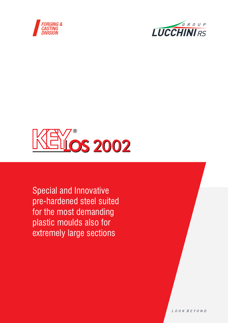





Special and Innovative pre-hardened steel suited for the most demanding plastic moulds also for extremely large sections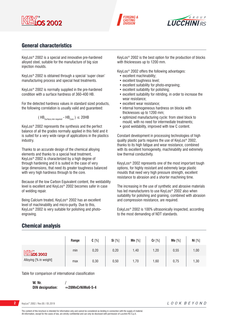





# General characteristics

KeyLos® 2002 is a special and innovative pre-hardened alloyed steel, suitable for the manufacture of big size injection moulds.

KeyLos® 2002 is obtained through a special 'super clean' manufacturing process and special heat treatments.

KeyLos® 2002 is normally supplied in the pre-hardened condition with a surface hardness of 360-400 HB.

For the detected hardness values in standard sized products, the following correlation is usually valid and guaranteed:

$$
(\text{HB}_{\text{Surface,min required}} - \text{HB}_{\text{Core}})
$$
  $\leq$  20HB

KeyLos® 2002 represents the synthesis and the perfect balance of all the grades normally applied in this field and it is suited for a very wide range of applications in the plastics industry.

Thanks to an accurate design of the chemical alloying elements and thanks to a special heat treatment, KeyLos® 2002 is characterized by a high degree of through hardening and it is suited in the case of very large dimensions, that need its greater toughness balanced with very high hardness through to the core.

Because of the low Carbon Equivalent content, the weldability level is excellent and KeyLos® 2002 becomes safer in case of welding repair.

Being Calcium treated, KeyLos® 2002 has an excellent level of machinability and micro-purity. Due to this, KeyLos® 2002 is very suitable for polishing and photoengraving.

KeyLos® 2002 is the best option for the production of blocks with thicknesses up to 1200 mm.

KeyLos® 2002 offers the following advantages:

- excellent machinability;
- excellent toughness level;
- excellent suitability for photo-engraving;
- excellent suitability for polishing;
- excellent suitability for nitriding, in order to increase the wear resistance;
- excellent wear resistance;
- internal homogeneous hardness on blocks with thicknesses up to 1200 mm;
- optimized manufacturing cycle: from steel block to mould, with no need for intermediate treatments;
- good weldability, improved with low C content.

Constant development in processing technologies of high quality plastic parts requires the use of KeyLos® 2002, thanks to its high fatigue and wear resistance, combined with its excellent homogeneity, machinability and extremely low thermal conductivity.

KeyyLos® 2002 represents one of the most important tough options, for highly resistant and extremely large plastic moulds that need very high pressure strength, excellent resistance to abrasion and a shorter machining time.

The increasing in the use of synthetic and abrasive materials has led manufacturers to use KeyLos® 2002 also when suitability for polishing and graining, combined with abrasion and compression resistance, are required.

EskyLos® 2002 is 100% ultrasonically inspected, according to the most demanding of NDT standards.

|                                | Range | $C[\%]$ | <b>Si</b> [%] | $Mn$ [%] | Cr [%] | Mo [%] | Ni [%] |
|--------------------------------|-------|---------|---------------|----------|--------|--------|--------|
| $M$ $\mathbb{N}$ $\infty$ 2002 | min   | 0,20    | 0,20          | 1,40     | 1,20   | 0,55   | 1,00   |
| Alloying [% in weight]         | max   | 0,30    | 0,50          | 1,70     | 1,60   | 0,75   | 1,30   |

Chemical analysis

Table for comparison of international classification

**W. Nr. / DIN designation:**  $≈28MnCrNiMo6-5-4$ 

**2** KeyLos® 2002 / Rev.00 / 05.2019

The content of this brochure is intended for information only and cannot be considered as binding in connection with the supply of material. All information, except for the cases of law, are strictly confidential and can only be disclosed with permission of Lucchini RS S.p.A.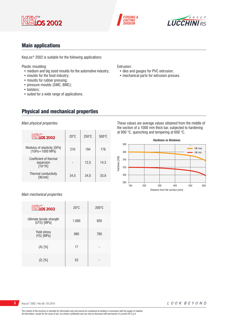





# Main applications

KeyLos® 2002 is suitable for the following applications:

Plastic moulding:

- medium and big sized moulds for the automotive industry;
- moulds for the food industry;
- moulds for rubber pressing;
- pressure moulds (SMC, BMC);
- bolsters;
- suited for a wide range of applications.

Extrusion:

- dies and gauges for PVC extrusion;
- mechanical parts for extrusion presses.

# Physical and mechanical properties

*Main physical properties*

| <b>KEYOS 2002</b>                                    | $20^{\circ}$ C | $250^{\circ}$ C | $500^{\circ}$ C |
|------------------------------------------------------|----------------|-----------------|-----------------|
| Modulus of elasticity [GPa]<br>(1GPa=1000 MPa)       | 210            | 194             | 176             |
| Coefficient of thermal<br>expansion<br>$[10^{-6}/K]$ |                | 12,5            | 14,3            |
| Thermal conductivity<br>[W/mK]                       | 34,5           | 34,0            | 33,8            |

### *Main mechanical properties*

| <b>KEY</b> os 2002                       | $20^{\circ}$ C | $200^{\circ}$ C |
|------------------------------------------|----------------|-----------------|
| Ultimate tensile strength<br>(UTS) [MPa] | 1.080          | 920             |
| <b>Yield stress</b><br>(YS) [MPa]        | 980            | 780             |
| $(A)$ $[%]$                              | 17             |                 |
| $(Z)$ $[%]$                              | 53             |                 |

These values are average values obtained from the middle of the section of a 1000 mm thick bar, subjected to hardening at 900 °C, quenching and tempering at 600 °C.

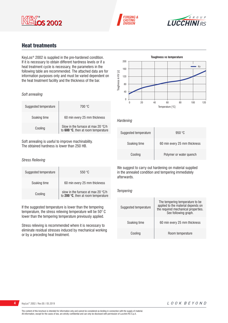





# Heat treatments

KeyLos® 2002 is supplied in the pre-hardened condition. If it is necessary to obtain different hardness levels or if a heat treatment cycle is necessary, the parameters in the following table are recommended. The attached data are for information purposes only and must be varied dependent on the heat treatment facility and the thickness of the bar.

### *Soft annealing*

| Suggested temperature | 700 °C                                                                             |
|-----------------------|------------------------------------------------------------------------------------|
| Soaking time          | 60 min every 25 mm thickness                                                       |
| Cooling               | Slow in the furnace at max 20 $\degree$ C/h<br>to 600 °C, then at room temperature |

Soft annealing is useful to improve machinability. The obtained hardness is lower than 250 HB.

### *Stress Relieving*

| Suggested temperature | 550 °C                                                                    |
|-----------------------|---------------------------------------------------------------------------|
| Soaking time          | 60 min every 25 mm thickness                                              |
| Cooling               | slow in the furnace at max 20 °C/h<br>to 200 °C, then at room temperature |

If the suggested temperature is lower than the tempering temperature, the stress relieving temperature will be 50° C lower than the tempering temperature previously applied.

Stress relieving is recommended where it is necessary to eliminate residual stresses induced by mechanical working or by a preceding heat treatment.



#### *Hardening*

| Suggested temperature | 950 °C                       |
|-----------------------|------------------------------|
| Soaking time          | 60 min every 25 mm thickness |
| Cooling               | Polymer or water quench      |

We suggest to carry out hardening on material supplied in the annealed condition and tempering immediately afterwards.

### *Tempering*

| Suggested temperature | The tempering temperature to be<br>applied to the material depends on<br>the required mechanical properties.<br>See following graph. |
|-----------------------|--------------------------------------------------------------------------------------------------------------------------------------|
| Soaking time          | 60 min every 25 mm thickness                                                                                                         |
| Cooling               | Room temperature                                                                                                                     |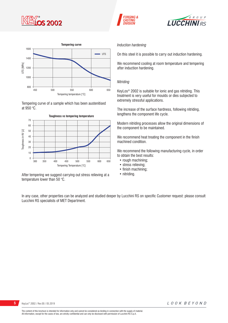







Tempering curve of a sample which has been austenitised at 950 °C.



After tempering we suggest carrying out stress relieving at a temperature lower than 50 °C.

### *Induction hardening*

On this steel it is possible to carry out induction hardening.

We recommend cooling at room temperature and tempering after induction hardening.

### *Nitriding*

KeyLos® 2002 is suitable for ionic and gas nitriding. This treatment is very useful for moulds or dies subjected to extremely stressful applications.

The increase of the surface hardness, following nitriding, lengthens the component life cycle.

Modern nitriding processes allow the original dimensions of the component to be maintained.

We recommend heat treating the component in the finish machined condition.

We recommend the following manufacturing cycle, in order to obtain the best results:

- rough machining;
- stress relieving;
- finish machining;
- nitriding.

In any case, other properties can be analyzed and studied deeper by Lucchini RS on specific Customer request: please consult Lucchini RS specialists of MET Department.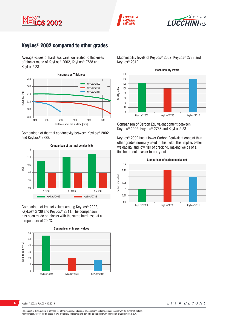





# KeyLos® 2002 compared to other grades

Average values of hardness variation related to thickness of blocks made of KeyLos® 2002, KeyLos® 2738 and KeyLos® 2311.



Comparison of thermal conductivity between KeyLos® 2002 and KeyLos® 2738.



Comparison of impact values among KeyLos® 2002, KeyLos® 2738 and KeyLos® 2311. The comparison has been made on blocks with the same hardness, at a temperature of 20 °C.

**Comparison of impact values** 60 50 Toughness in Kv [J] Toughness in Kv [J] 40 30 20 10 0 KeyLos®2002 KeyLos®2738 KeyLos®2311 Machinability levels of KeyLos® 2002, KeyLos® 2738 and KeyLos® 2312.



Comparison of Carbon Equivalent content between KeyLos® 2002, KeyLos® 2738 and KeyLos® 2311.

KeyLos® 2002 has a lower Carbon Equivalent content than other grades normally used in this field. This implies better weldability and low risk of cracking, making welds of a finished mould easier to carry out.



**6** KeyLos<sup>®</sup> 2002 / Rev.00 / 05.2019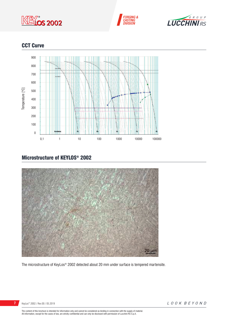





# CCT Curve



# Microstructure of KEYLOS® 2002



The microstructure of KeyLos® 2002 detected about 20 mm under surface is tempered martensite.



The content of this brochure is intended for information only and cannot be considered as binding in connection with the supply of material.<br>All information, except for the cases of law, are strictly confidential and can o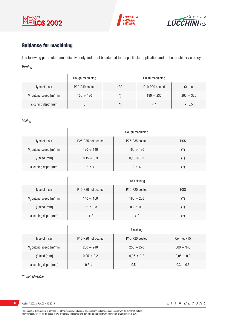





# Guidance for machining

The following parameters are indicative only and must be adapted to the particular application and to the machinery employed. *Turning*

|                         | Rough machining |            | Finish machining                        |                |
|-------------------------|-----------------|------------|-----------------------------------------|----------------|
| Type of insert          | P20-P40 coated  | <b>HSS</b> | P <sub>10</sub> -P <sub>20</sub> coated | Cermet         |
| V cutting speed [m/min] | $150 \div 190$  | (*`        | $190 \div 230$                          | $260 \div 320$ |
| a, cutting depth [mm]   |                 | (*`        |                                         | < 0.5          |

### *Milling*

|                             | Rough machining    |                                         |            |
|-----------------------------|--------------------|-----------------------------------------|------------|
| Type of insert              | P25-P35 not coated | P <sub>25</sub> -P <sub>35</sub> coated | <b>HSS</b> |
| $V_c$ cutting speed [m/min] | $120 \div 140$     | $160 \div 180$                          | $(\star)$  |
| $fz$ feed [mm]              | $0,15 \div 0,3$    | $0,15 \div 0,3$                         | $(\star)$  |
| $ar$ cutting depth [mm]     | $2 \div 4$         | $2 \div 4$                              | $(\star)$  |

|                         | Pre-finishing                                      |                                         |            |
|-------------------------|----------------------------------------------------|-----------------------------------------|------------|
| Type of insert          | P <sub>10</sub> -P <sub>20</sub> not coated        | P <sub>10</sub> -P <sub>20</sub> coated | <b>HSS</b> |
| V cutting speed [m/min] | $140 \div 160$                                     | $180 \div 200$                          | (*)        |
| $f$ , feed [mm]         | $0,2 \div 0,3$                                     | $0,2 \div 0,3$                          | $(\star)$  |
| a, cutting depth [mm]   | </td <td>&lt; 2</td> <td><math>(\star)</math></td> | < 2                                     | $(\star)$  |

|                                      | Finishing                                   |                                         |                 |
|--------------------------------------|---------------------------------------------|-----------------------------------------|-----------------|
| Type of insert                       | P <sub>10</sub> -P <sub>20</sub> not coated | P <sub>10</sub> -P <sub>20</sub> coated | Cermet P15      |
| V <sub>c</sub> cutting speed [m/min] | $200 \div 240$                              | $250 \div 270$                          | $300 \div 340$  |
| $f$ , feed [mm]                      | $0,05 \div 0,2$                             | $0,05 \div 0,2$                         | $0,05 \div 0,2$ |
| a, cutting depth [mm]                | $0.5 \div 1$                                | $0.5 \div 1$                            | $0,3 \div 0,5$  |

*(\*) not advisable*

8 KeyLos<sup>®</sup> 2002 / Rev.00 / 05.2019

 $\overline{1}$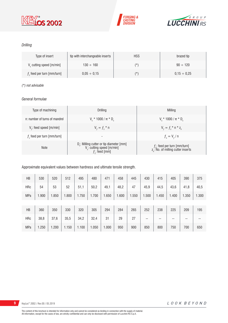





### *Drilling*

| Type of insert                       | tip with interchangeable inserts | <b>HSS</b> | brazed tip       |
|--------------------------------------|----------------------------------|------------|------------------|
| V <sub>c</sub> cutting speed [m/min] | $130 \div 160$                   | $(\star)$  | $90 \div 120$    |
| $fz$ feed per turn [mm/turn]         | $0.05 \div 0.15$                 | $(\star)$  | $0.15 \div 0.25$ |

### *(\*) not advisable*

### *General formulae*

| Type of machining             | Drilling                                                                                                 | Milling                                                                             |
|-------------------------------|----------------------------------------------------------------------------------------------------------|-------------------------------------------------------------------------------------|
| n: number of turns of mandrel | $V_r * 1000 / \pi * D_r$                                                                                 | $V_r * 1000 / \pi * D_r$                                                            |
| $V_f$ : feed speed [m/min]    | $V_{f} = f_{7}$ * n                                                                                      | $V_{f} = f_{i} * n * z_{n}$                                                         |
| $fz$ feed per turn [mm/turn]  | ۰                                                                                                        | $f_{n} = V_{f} / n$                                                                 |
| <b>Note</b>                   | $D_c$ : Milling cutter or tip diameter [mm]<br>V <sub>c</sub> : cutting speed [m/min]<br>$f$ ; feed [mm] | $f_{n}$ : feed per turn [mm/turn]<br>z <sub>n</sub> : No. of milling cutter inserts |

### Approximate equivalent values between hardness and ultimate tensile strength.

| HB         | 530   | 520   | 512   | 495   | 480   | 471   | 458   | 445   | 430   | 415   | 405   | 390   | 375   |
|------------|-------|-------|-------|-------|-------|-------|-------|-------|-------|-------|-------|-------|-------|
| <b>HRc</b> | 54    | 53    | 52    | 51,1  | 50,2  | 49,1  | 48,2  | 47    | 45,9  | 44,5  | 43,6  | 41,8  | 40,5  |
| <b>MPa</b> | 1.900 | 1.850 | 1.800 | 1.750 | 1.700 | 1.650 | 1.600 | 1.550 | 1.500 | 1.450 | 1.400 | 1.350 | 1.300 |
|            |       |       |       |       |       |       |       |       |       |       |       |       |       |
| HB         | 360   | 350   | 330   | 320   | 305   | 294   | 284   | 265   | 252   | 238   | 225   | 209   | 195   |
| <b>HRc</b> | 38,8  | 37,6  | 35,5  | 34,2  | 32,4  | 31    | 29    | 27    | --    | --    | --    | --    | --    |
| <b>MPa</b> | 1.250 | 1.200 | 1.150 | 1.100 | 1.050 | 1.000 | 950   | 900   | 850   | 800   | 750   | 700   | 650   |